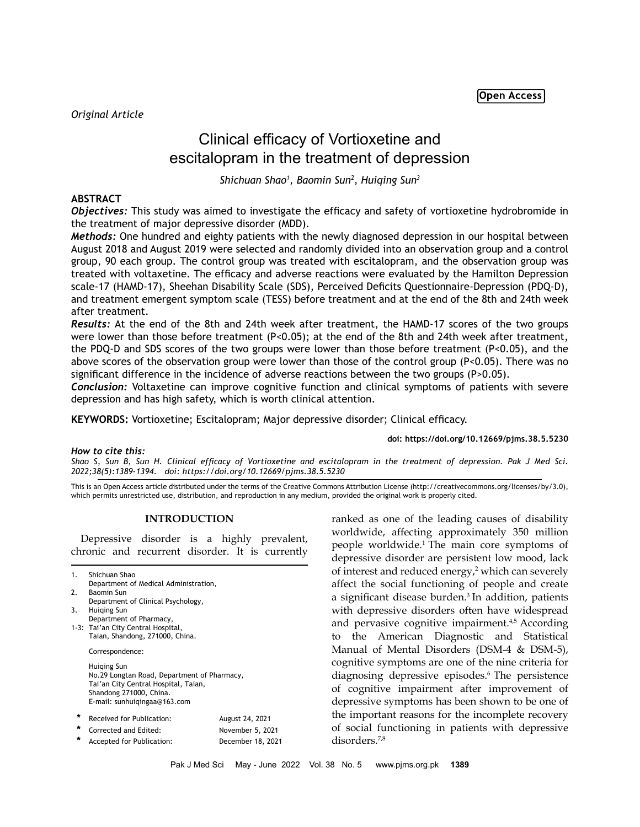*Original Article*

# Clinical efficacy of Vortioxetine and escitalopram in the treatment of depression

*Shichuan Shao1 , Baomin Sun2 , Huiqing Sun3*

# **ABSTRACT**

*Objectives:* This study was aimed to investigate the efficacy and safety of vortioxetine hydrobromide in the treatment of major depressive disorder (MDD).

*Methods:* One hundred and eighty patients with the newly diagnosed depression in our hospital between August 2018 and August 2019 were selected and randomly divided into an observation group and a control group, 90 each group. The control group was treated with escitalopram, and the observation group was treated with voltaxetine. The efficacy and adverse reactions were evaluated by the Hamilton Depression scale-17 (HAMD-17), Sheehan Disability Scale (SDS), Perceived Deficits Questionnaire-Depression (PDQ-D), and treatment emergent symptom scale (TESS) before treatment and at the end of the 8th and 24th week after treatment.

*Results:* At the end of the 8th and 24th week after treatment, the HAMD-17 scores of the two groups were lower than those before treatment (P<0.05); at the end of the 8th and 24th week after treatment, the PDQ-D and SDS scores of the two groups were lower than those before treatment (P<0.05), and the above scores of the observation group were lower than those of the control group (P<0.05). There was no significant difference in the incidence of adverse reactions between the two groups (P>0.05).

*Conclusion:* Voltaxetine can improve cognitive function and clinical symptoms of patients with severe depression and has high safety, which is worth clinical attention.

**KEYWORDS:** Vortioxetine; Escitalopram; Major depressive disorder; Clinical efficacy.

**doi: https://doi.org/10.12669/pjms.38.5.5230**

## *How to cite this:*

*Shao S, Sun B, Sun H. Clinical efficacy of Vortioxetine and escitalopram in the treatment of depression. Pak J Med Sci. 2022;38(5):1389-1394. doi: https://doi.org/10.12669/pjms.38.5.5230*

This is an Open Access article distributed under the terms of the Creative Commons Attribution License (http://creativecommons.org/licenses/by/3.0), which permits unrestricted use, distribution, and reproduction in any medium, provided the original work is properly cited.

# **INTRODUCTION**

Depressive disorder is a highly prevalent, chronic and recurrent disorder. It is currently

| 1.<br>2.<br>3. | Shichuan Shao<br>Department of Medical Administration,<br>Baomin Sun<br>Department of Clinical Psychology,<br>Huiging Sun<br>Department of Pharmacy,          |                                                          |  |
|----------------|---------------------------------------------------------------------------------------------------------------------------------------------------------------|----------------------------------------------------------|--|
|                | 1-3: Tai'an City Central Hospital,<br>Taian, Shandong, 271000, China.                                                                                         |                                                          |  |
|                | Correspondence:                                                                                                                                               |                                                          |  |
|                | Huiging Sun<br>No.29 Longtan Road, Department of Pharmacy,<br>Tai'an City Central Hospital, Taian,<br>Shandong 271000, China.<br>E-mail: sunhuigingaa@163.com |                                                          |  |
| ÷<br>*<br>÷    | Received for Publication:<br>Corrected and Edited:<br>Accepted for Publication:                                                                               | August 24, 2021<br>November 5, 2021<br>December 18, 2021 |  |

ranked as one of the leading causes of disability worldwide, affecting approximately 350 million people worldwide.1 The main core symptoms of depressive disorder are persistent low mood, lack of interest and reduced energy,<sup>2</sup> which can severely affect the social functioning of people and create a significant disease burden.<sup>3</sup> In addition, patients with depressive disorders often have widespread and pervasive cognitive impairment.<sup>4,5</sup> According to the American Diagnostic and Statistical Manual of Mental Disorders (DSM-4 & DSM-5), cognitive symptoms are one of the nine criteria for diagnosing depressive episodes.<sup>6</sup> The persistence of cognitive impairment after improvement of depressive symptoms has been shown to be one of the important reasons for the incomplete recovery of social functioning in patients with depressive disorders.7,8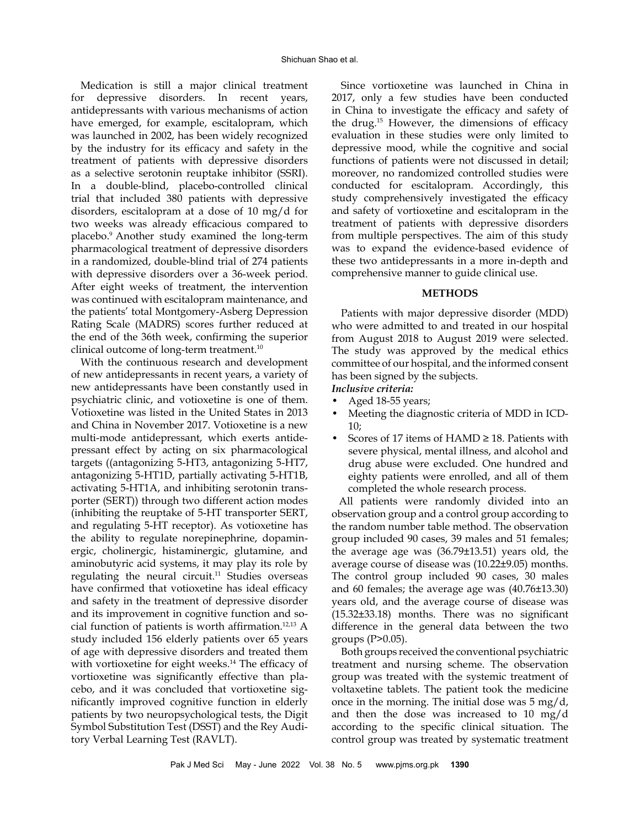Medication is still a major clinical treatment for depressive disorders. In recent years, antidepressants with various mechanisms of action have emerged, for example, escitalopram, which was launched in 2002, has been widely recognized by the industry for its efficacy and safety in the treatment of patients with depressive disorders as a selective serotonin reuptake inhibitor (SSRI). In a double-blind, placebo-controlled clinical trial that included 380 patients with depressive disorders, escitalopram at a dose of 10 mg/d for two weeks was already efficacious compared to placebo.9 Another study examined the long-term pharmacological treatment of depressive disorders in a randomized, double-blind trial of 274 patients with depressive disorders over a 36-week period. After eight weeks of treatment, the intervention was continued with escitalopram maintenance, and the patients' total Montgomery-Asberg Depression Rating Scale (MADRS) scores further reduced at the end of the 36th week, confirming the superior clinical outcome of long-term treatment.<sup>10</sup>

With the continuous research and development of new antidepressants in recent years, a variety of new antidepressants have been constantly used in psychiatric clinic, and votioxetine is one of them. Votioxetine was listed in the United States in 2013 and China in November 2017. Votioxetine is a new multi-mode antidepressant, which exerts antidepressant effect by acting on six pharmacological targets ((antagonizing 5-HT3, antagonizing 5-HT7, antagonizing 5-HT1D, partially activating 5-HT1B, activating 5-HT1A, and inhibiting serotonin transporter (SERT)) through two different action modes (inhibiting the reuptake of 5-HT transporter SERT, and regulating 5-HT receptor). As votioxetine has the ability to regulate norepinephrine, dopaminergic, cholinergic, histaminergic, glutamine, and aminobutyric acid systems, it may play its role by regulating the neural circuit. $11$  Studies overseas have confirmed that votioxetine has ideal efficacy and safety in the treatment of depressive disorder and its improvement in cognitive function and social function of patients is worth affirmation.12,13 A study included 156 elderly patients over 65 years of age with depressive disorders and treated them with vortioxetine for eight weeks.<sup>14</sup> The efficacy of vortioxetine was significantly effective than placebo, and it was concluded that vortioxetine significantly improved cognitive function in elderly patients by two neuropsychological tests, the Digit Symbol Substitution Test (DSST) and the Rey Auditory Verbal Learning Test (RAVLT).

Since vortioxetine was launched in China in 2017, only a few studies have been conducted in China to investigate the efficacy and safety of the drug.15 However, the dimensions of efficacy evaluation in these studies were only limited to depressive mood, while the cognitive and social functions of patients were not discussed in detail; moreover, no randomized controlled studies were conducted for escitalopram. Accordingly, this study comprehensively investigated the efficacy and safety of vortioxetine and escitalopram in the treatment of patients with depressive disorders from multiple perspectives. The aim of this study was to expand the evidence-based evidence of these two antidepressants in a more in-depth and comprehensive manner to guide clinical use.

## **METHODS**

Patients with major depressive disorder (MDD) who were admitted to and treated in our hospital from August 2018 to August 2019 were selected. The study was approved by the medical ethics committee of our hospital, and the informed consent has been signed by the subjects.

- *Inclusive criteria:*
- Aged 18-55 years;
- Meeting the diagnostic criteria of MDD in ICD-10;
- Scores of 17 items of  $HAMD \geq 18$ . Patients with severe physical, mental illness, and alcohol and drug abuse were excluded. One hundred and eighty patients were enrolled, and all of them completed the whole research process.

 All patients were randomly divided into an observation group and a control group according to the random number table method. The observation group included 90 cases, 39 males and 51 females; the average age was (36.79±13.51) years old, the average course of disease was (10.22±9.05) months. The control group included 90 cases, 30 males and 60 females; the average age was (40.76±13.30) years old, and the average course of disease was (15.32±33.18) months. There was no significant difference in the general data between the two groups (P>0.05).

Both groups received the conventional psychiatric treatment and nursing scheme. The observation group was treated with the systemic treatment of voltaxetine tablets. The patient took the medicine once in the morning. The initial dose was  $5 \text{ mg/d}$ , and then the dose was increased to 10 mg/d according to the specific clinical situation. The control group was treated by systematic treatment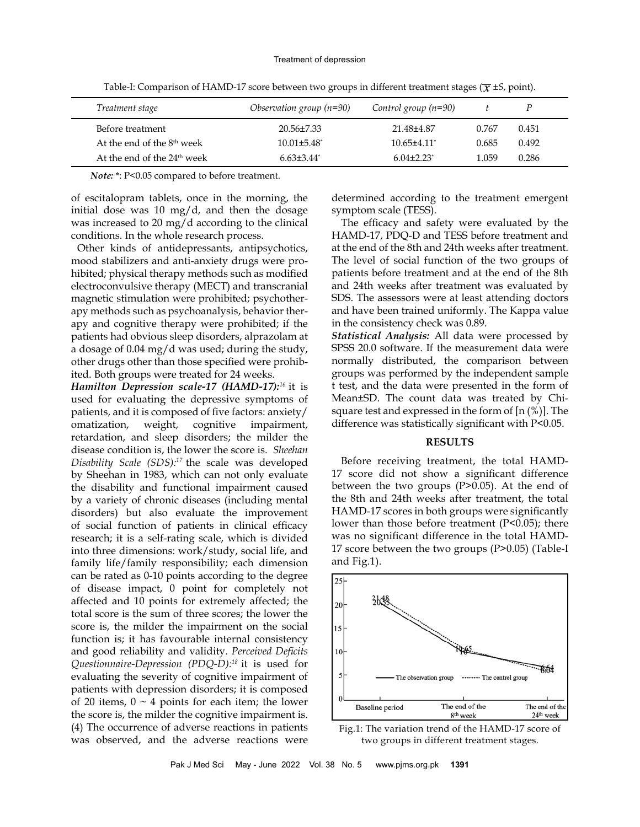| Treatment stage                        | Observation group $(n=90)$ | Control group $(n=90)$      |       |       |
|----------------------------------------|----------------------------|-----------------------------|-------|-------|
| Before treatment                       | $20.56 \pm 7.33$           | 21.48±4.87                  | 0.767 | 0.451 |
| At the end of the 8 <sup>th</sup> week | $10.01 \pm 5.48^*$         | $10.65 + 4.11$ <sup>*</sup> | 0.685 | 0.492 |
| At the end of the $24th$ week          | $6.63\pm3.44$ <sup>*</sup> | $6.04\pm2.23$ <sup>*</sup>  | 1.059 | 0.286 |

Table-I: Comparison of HAMD-17 score between two groups in different treatment stages ( $\overline{\chi}$  ±*S*, point).

*Note:* \*: P<0.05 compared to before treatment.

of escitalopram tablets, once in the morning, the initial dose was 10 mg/d, and then the dosage was increased to 20 mg/d according to the clinical conditions. In the whole research process.

 Other kinds of antidepressants, antipsychotics, mood stabilizers and anti-anxiety drugs were prohibited; physical therapy methods such as modified electroconvulsive therapy (MECT) and transcranial magnetic stimulation were prohibited; psychotherapy methods such as psychoanalysis, behavior therapy and cognitive therapy were prohibited; if the patients had obvious sleep disorders, alprazolam at a dosage of 0.04 mg/d was used; during the study, other drugs other than those specified were prohibited. Both groups were treated for 24 weeks.

*Hamilton Depression scale-17 (HAMD-17):<sup>16</sup>* it is used for evaluating the depressive symptoms of patients, and it is composed of five factors: anxiety/ omatization, weight, cognitive impairment, retardation, and sleep disorders; the milder the disease condition is, the lower the score is. *Sheehan Disability Scale (SDS):17* the scale was developed by Sheehan in 1983, which can not only evaluate the disability and functional impairment caused by a variety of chronic diseases (including mental disorders) but also evaluate the improvement of social function of patients in clinical efficacy research; it is a self-rating scale, which is divided into three dimensions: work/study, social life, and family life/family responsibility; each dimension can be rated as 0-10 points according to the degree of disease impact, 0 point for completely not affected and 10 points for extremely affected; the total score is the sum of three scores; the lower the score is, the milder the impairment on the social function is; it has favourable internal consistency and good reliability and validity. *Perceived Deficits Questionnaire-Depression (PDQ-D):18* it is used for evaluating the severity of cognitive impairment of patients with depression disorders; it is composed of 20 items,  $0 \sim 4$  points for each item; the lower the score is, the milder the cognitive impairment is. (4) The occurrence of adverse reactions in patients was observed, and the adverse reactions were

determined according to the treatment emergent symptom scale (TESS).

The efficacy and safety were evaluated by the HAMD-17, PDQ-D and TESS before treatment and at the end of the 8th and 24th weeks after treatment. The level of social function of the two groups of patients before treatment and at the end of the 8th and 24th weeks after treatment was evaluated by SDS. The assessors were at least attending doctors and have been trained uniformly. The Kappa value in the consistency check was 0.89.

*Statistical Analysis:* All data were processed by SPSS 20.0 software. If the measurement data were normally distributed, the comparison between groups was performed by the independent sample t test, and the data were presented in the form of Mean±SD. The count data was treated by Chisquare test and expressed in the form of [n (%)]. The difference was statistically significant with P<0.05.

# **RESULTS**

Before receiving treatment, the total HAMD-17 score did not show a significant difference between the two groups (P>0.05). At the end of the 8th and 24th weeks after treatment, the total HAMD-17 scores in both groups were significantly lower than those before treatment (P<0.05); there was no significant difference in the total HAMD-17 score between the two groups (P>0.05) (Table-I and Fig.1).



Fig.1: The variation trend of the HAMD-17 score of two groups in different treatment stages.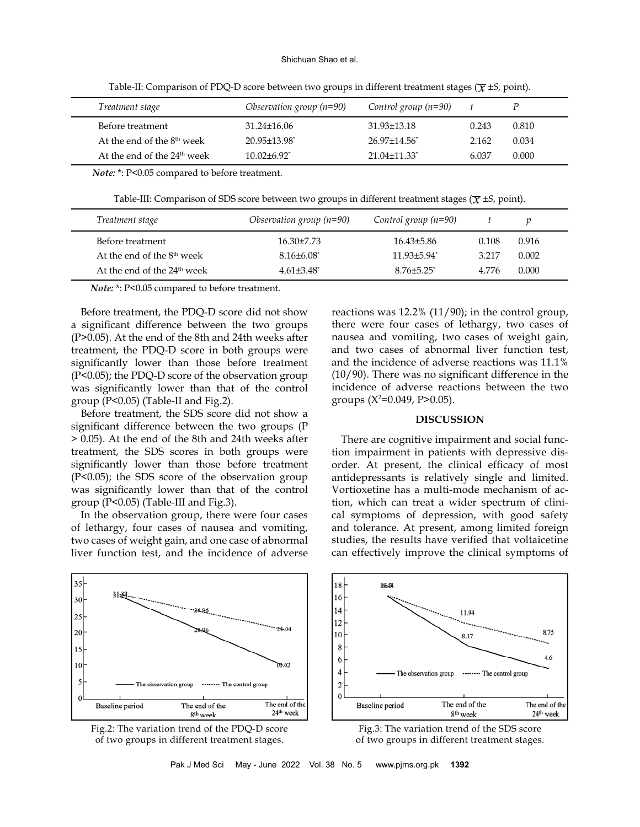#### Shichuan Shao et al.

| Treatment stage                         | Observation group $(n=90)$     | Control group $(n=90)$         |       |       |
|-----------------------------------------|--------------------------------|--------------------------------|-------|-------|
| Before treatment                        | $31.24 \pm 16.06$              | $31.93 \pm 13.18$              | 0.243 | 0.810 |
| At the end of the 8 <sup>th</sup> week  | $20.95 \pm 13.98$ <sup>*</sup> | $26.97 \pm 14.56$ <sup>*</sup> | 2.162 | 0.034 |
| At the end of the 24 <sup>th</sup> week | $10.02 + 6.92$ <sup>*</sup>    | $21.04 \pm 11.33$ <sup>*</sup> | 6.037 | 0.000 |

Table-II: Comparison of PDQ-D score between two groups in different treatment stages ( $\overline{\chi}$  ±*S*, point).

*Note:* \*: P<0.05 compared to before treatment.

Table-III: Comparison of SDS score between two groups in different treatment stages ( $\overline{\chi}$  ±*S*, point).

| Treatment stage                         | Observation group $(n=90)$ | Control group $(n=90)$        |       |       |
|-----------------------------------------|----------------------------|-------------------------------|-------|-------|
| Before treatment                        | $16.30\pm7.73$             | $16.43\pm5.86$                | 0.108 | 0.916 |
| At the end of the 8 <sup>th</sup> week  | $8.16\pm6.08^*$            | $11.93 \pm 5.94$ <sup>*</sup> | 3.217 | 0.002 |
| At the end of the 24 <sup>th</sup> week | $4.61\pm3.48$ <sup>*</sup> | $8.76 \pm 5.25$ <sup>*</sup>  | 4.776 | 0.000 |

*Note:* \*: P<0.05 compared to before treatment.

Before treatment, the PDQ-D score did not show a significant difference between the two groups (P>0.05). At the end of the 8th and 24th weeks after treatment, the PDQ-D score in both groups were significantly lower than those before treatment (P<0.05); the PDQ-D score of the observation group was significantly lower than that of the control group (P<0.05) (Table-II and Fig.2).

Before treatment, the SDS score did not show a significant difference between the two groups (P > 0.05). At the end of the 8th and 24th weeks after treatment, the SDS scores in both groups were significantly lower than those before treatment (P<0.05); the SDS score of the observation group was significantly lower than that of the control group (P<0.05) (Table-III and Fig.3).

In the observation group, there were four cases of lethargy, four cases of nausea and vomiting, two cases of weight gain, and one case of abnormal liver function test, and the incidence of adverse reactions was 12.2% (11/90); in the control group, there were four cases of lethargy, two cases of nausea and vomiting, two cases of weight gain, and two cases of abnormal liver function test, and the incidence of adverse reactions was 11.1% (10/90). There was no significant difference in the incidence of adverse reactions between the two groups  $(X^2=0.049, P>0.05)$ .

# **DISCUSSION**

There are cognitive impairment and social function impairment in patients with depressive disorder. At present, the clinical efficacy of most antidepressants is relatively single and limited. Vortioxetine has a multi-mode mechanism of action, which can treat a wider spectrum of clinical symptoms of depression, with good safety and tolerance. At present, among limited foreign studies, the results have verified that voltaicetine can effectively improve the clinical symptoms of







Fig.3: The variation trend of the SDS score of two groups in different treatment stages.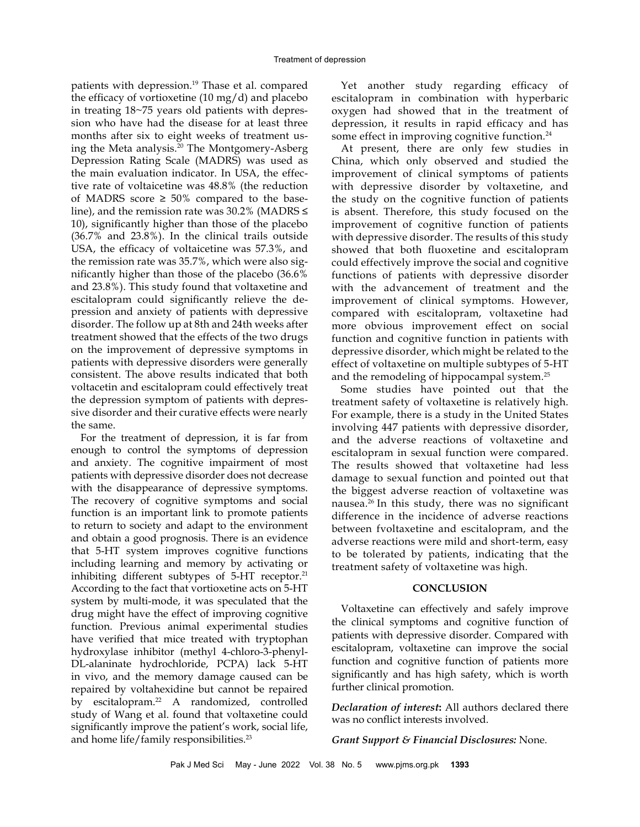patients with depression.<sup>19</sup> Thase et al. compared the efficacy of vortioxetine (10 mg/d) and placebo in treating 18~75 years old patients with depression who have had the disease for at least three months after six to eight weeks of treatment using the Meta analysis.20 The Montgomery-Asberg Depression Rating Scale (MADRS) was used as the main evaluation indicator. In USA, the effective rate of voltaicetine was 48.8% (the reduction of MADRS score  $\geq 50\%$  compared to the baseline), and the remission rate was  $30.2\%$  (MADRS  $\leq$ 10), significantly higher than those of the placebo (36.7% and 23.8%). In the clinical trails outside USA, the efficacy of voltaicetine was 57.3%, and the remission rate was 35.7%, which were also significantly higher than those of the placebo (36.6% and 23.8%). This study found that voltaxetine and escitalopram could significantly relieve the depression and anxiety of patients with depressive disorder. The follow up at 8th and 24th weeks after treatment showed that the effects of the two drugs on the improvement of depressive symptoms in patients with depressive disorders were generally consistent. The above results indicated that both voltacetin and escitalopram could effectively treat the depression symptom of patients with depressive disorder and their curative effects were nearly the same.

For the treatment of depression, it is far from enough to control the symptoms of depression and anxiety. The cognitive impairment of most patients with depressive disorder does not decrease with the disappearance of depressive symptoms. The recovery of cognitive symptoms and social function is an important link to promote patients to return to society and adapt to the environment and obtain a good prognosis. There is an evidence that 5-HT system improves cognitive functions including learning and memory by activating or inhibiting different subtypes of  $5-HT$  receptor.<sup>21</sup> According to the fact that vortioxetine acts on 5-HT system by multi-mode, it was speculated that the drug might have the effect of improving cognitive function. Previous animal experimental studies have verified that mice treated with tryptophan hydroxylase inhibitor (methyl 4-chloro-3-phenyl-DL-alaninate hydrochloride, PCPA) lack 5-HT in vivo, and the memory damage caused can be repaired by voltahexidine but cannot be repaired by escitalopram.22 A randomized, controlled study of Wang et al. found that voltaxetine could significantly improve the patient's work, social life, and home life/family responsibilities.<sup>23</sup>

Yet another study regarding efficacy of escitalopram in combination with hyperbaric oxygen had showed that in the treatment of depression, it results in rapid efficacy and has some effect in improving cognitive function.<sup>24</sup>

At present, there are only few studies in China, which only observed and studied the improvement of clinical symptoms of patients with depressive disorder by voltaxetine, and the study on the cognitive function of patients is absent. Therefore, this study focused on the improvement of cognitive function of patients with depressive disorder. The results of this study showed that both fluoxetine and escitalopram could effectively improve the social and cognitive functions of patients with depressive disorder with the advancement of treatment and the improvement of clinical symptoms. However, compared with escitalopram, voltaxetine had more obvious improvement effect on social function and cognitive function in patients with depressive disorder, which might be related to the effect of voltaxetine on multiple subtypes of 5-HT and the remodeling of hippocampal system.<sup>25</sup>

Some studies have pointed out that the treatment safety of voltaxetine is relatively high. For example, there is a study in the United States involving 447 patients with depressive disorder, and the adverse reactions of voltaxetine and escitalopram in sexual function were compared. The results showed that voltaxetine had less damage to sexual function and pointed out that the biggest adverse reaction of voltaxetine was nausea.26 In this study, there was no significant difference in the incidence of adverse reactions between fvoltaxetine and escitalopram, and the adverse reactions were mild and short-term, easy to be tolerated by patients, indicating that the treatment safety of voltaxetine was high.

## **CONCLUSION**

Voltaxetine can effectively and safely improve the clinical symptoms and cognitive function of patients with depressive disorder. Compared with escitalopram, voltaxetine can improve the social function and cognitive function of patients more significantly and has high safety, which is worth further clinical promotion.

*Declaration of interest***:** All authors declared there was no conflict interests involved.

*Grant Support & Financial Disclosures:* None.